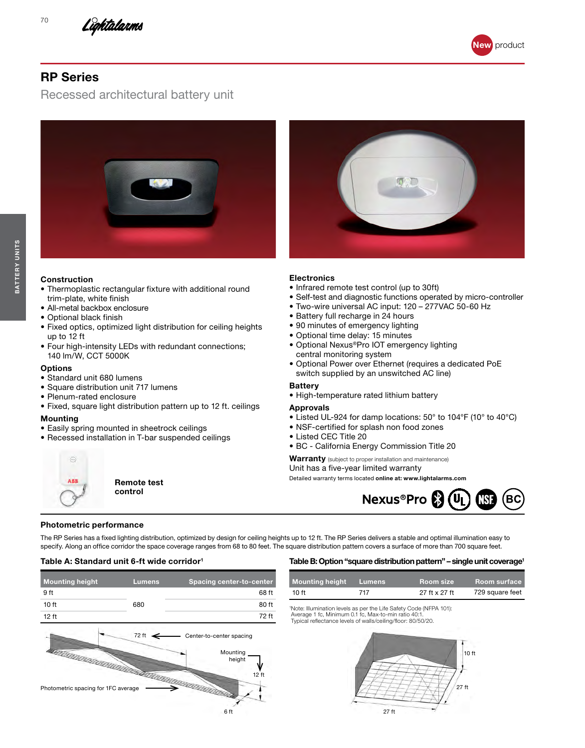





# RP Series

70

Recessed architectural battery unit



### Construction

- Thermoplastic rectangular fixture with additional round trim-plate, white finish
- All-metal backbox enclosure
- Optional black finish
- Fixed optics, optimized light distribution for ceiling heights up to 12 ft
- Four high-intensity LEDs with redundant connections; 140 lm/W, CCT 5000K

#### **Options**

- Standard unit 680 lumens
- Square distribution unit 717 lumens
- Plenum-rated enclosure
- Fixed, square light distribution pattern up to 12 ft. ceilings

#### Mounting

- Easily spring mounted in sheetrock ceilings
- Recessed installation in T-bar suspended ceilings



Remote test control

## **Electronics**

- Infrared remote test control (up to 30ft)
- Self-test and diagnostic functions operated by micro-controller
- Two-wire universal AC input: 120 277VAC 50-60 Hz
- Battery full recharge in 24 hours
- 90 minutes of emergency lighting
- Optional time delay: 15 minutes
- Optional Nexus®Pro IOT emergency lighting central monitoring system
- Optional Power over Ethernet (requires a dedicated PoE switch supplied by an unswitched AC line)

#### **Battery**

• High-temperature rated lithium battery

#### Approvals

- Listed UL-924 for damp locations: 50° to 104°F (10° to 40°C)
- NSF-certified for splash non food zones
- Listed CEC Title 20
- BC California Energy Commission Title 20

Warranty (subject to proper installation and maintenance)

Unit has a five-year limited warranty Detailed warranty terms located online at: www.lightalarms.com



## Photometric performance

The RP Series has a fixed lighting distribution, optimized by design for ceiling heights up to 12 ft. The RP Series delivers a stable and optimal illumination easy to specify. Along an office corridor the space coverage ranges from 68 to 80 feet. The square distribution pattern covers a surface of more than 700 square feet.

6 ft

### Table A: Standard unit 6-ft wide corridor<sup>1</sup>

| <b>Mounting height</b>              | <b>Lumens</b> | <b>Spacing center-to-center</b>                         |
|-------------------------------------|---------------|---------------------------------------------------------|
| 9 ft                                |               | 68 ft                                                   |
| 10 <sub>ft</sub>                    | 680           | 80 ft                                                   |
| 12 ft                               |               | 72 ft                                                   |
| Photometric spacing for 1FC average | 72 ft         | Center-to-center spacing<br>Mounting<br>height<br>12 ft |

Table B: Option "square distribution pattern" – single unit coverage<sup>1</sup>

| <b>Mounting height</b> | Lumens' | <b>Room size</b> | <b>Room surface</b> |
|------------------------|---------|------------------|---------------------|

|  |  | $- - 4 \times 07 +$ | 729 square feet |  |
|--|--|---------------------|-----------------|--|
|  |  |                     |                 |  |

1 Note: Illumination levels as per the Life Safety Code (NFPA 101): Average 1 fc, Minimum 0.1 fc, Max-to-min ratio 40:1. Typical reflectance levels of walls/ceiling/floor: 80/50/20.